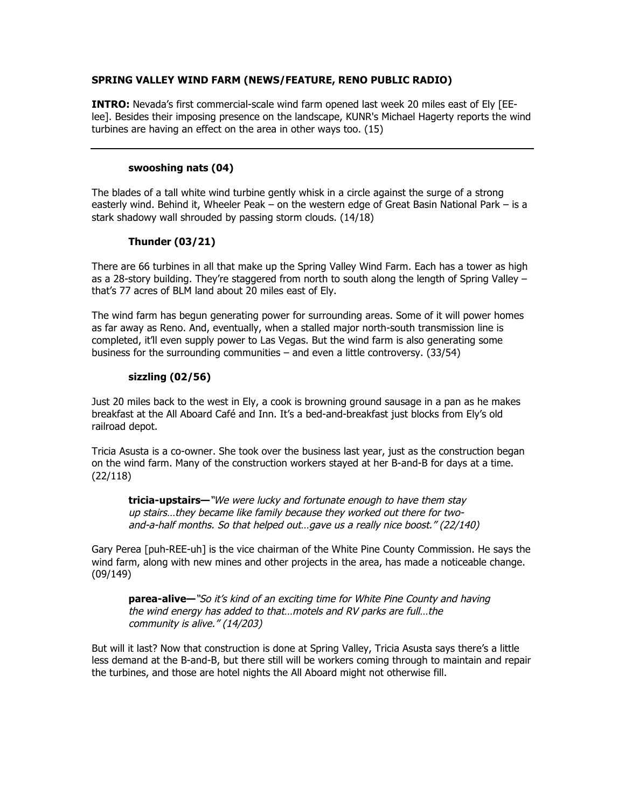## **SPRING VALLEY WIND FARM (NEWS/FEATURE, RENO PUBLIC RADIO)**

**INTRO:** Nevada's first commercial-scale wind farm opened last week 20 miles east of Ely [EElee]. Besides their imposing presence on the landscape, KUNR's Michael Hagerty reports the wind turbines are having an effect on the area in other ways too. (15)

## **swooshing nats (04)**

The blades of a tall white wind turbine gently whisk in a circle against the surge of a strong easterly wind. Behind it, Wheeler Peak – on the western edge of Great Basin National Park – is a stark shadowy wall shrouded by passing storm clouds. (14/18)

# **Thunder (03/21)**

There are 66 turbines in all that make up the Spring Valley Wind Farm. Each has a tower as high as a 28-story building. They're staggered from north to south along the length of Spring Valley – that's 77 acres of BLM land about 20 miles east of Ely.

The wind farm has begun generating power for surrounding areas. Some of it will power homes as far away as Reno. And, eventually, when a stalled major north-south transmission line is completed, it'll even supply power to Las Vegas. But the wind farm is also generating some business for the surrounding communities – and even a little controversy. (33/54)

## **sizzling (02/56)**

Just 20 miles back to the west in Ely, a cook is browning ground sausage in a pan as he makes breakfast at the All Aboard Café and Inn. It's a bed-and-breakfast just blocks from Ely's old railroad depot.

Tricia Asusta is a co-owner. She took over the business last year, just as the construction began on the wind farm. Many of the construction workers stayed at her B-and-B for days at a time. (22/118)

**tricia-upstairs—**"We were lucky and fortunate enough to have them stay up stairs…they became like family because they worked out there for twoand-a-half months. So that helped out…gave us a really nice boost." (22/140)

Gary Perea [puh-REE-uh] is the vice chairman of the White Pine County Commission. He says the wind farm, along with new mines and other projects in the area, has made a noticeable change. (09/149)

**parea-alive—**"So it's kind of an exciting time for White Pine County and having the wind energy has added to that…motels and RV parks are full…the community is alive." (14/203)

But will it last? Now that construction is done at Spring Valley, Tricia Asusta says there's a little less demand at the B-and-B, but there still will be workers coming through to maintain and repair the turbines, and those are hotel nights the All Aboard might not otherwise fill.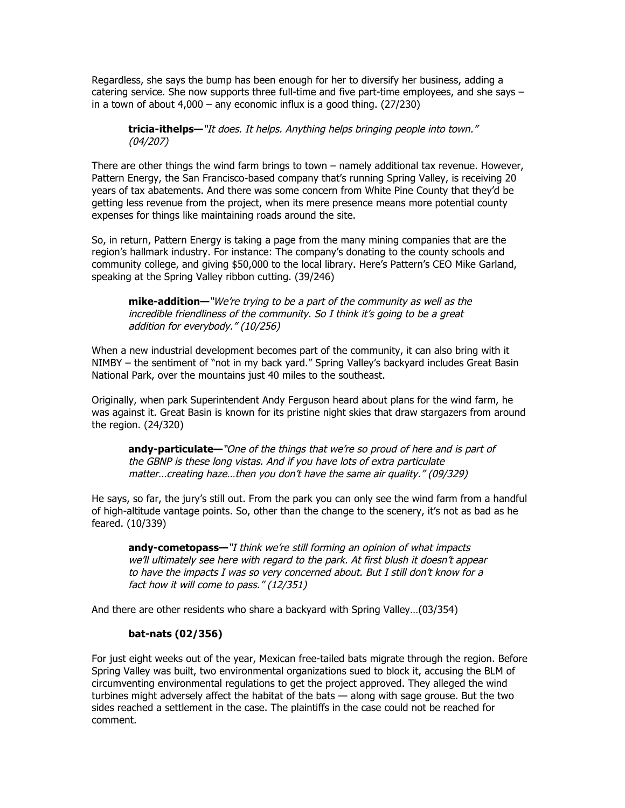Regardless, she says the bump has been enough for her to diversify her business, adding a catering service. She now supports three full-time and five part-time employees, and she says – in a town of about 4,000 – any economic influx is a good thing. (27/230)

**tricia-ithelps—**"It does. It helps. Anything helps bringing people into town." (04/207)

There are other things the wind farm brings to town – namely additional tax revenue. However, Pattern Energy, the San Francisco-based company that's running Spring Valley, is receiving 20 years of tax abatements. And there was some concern from White Pine County that they'd be getting less revenue from the project, when its mere presence means more potential county expenses for things like maintaining roads around the site.

So, in return, Pattern Energy is taking a page from the many mining companies that are the region's hallmark industry. For instance: The company's donating to the county schools and community college, and giving \$50,000 to the local library. Here's Pattern's CEO Mike Garland, speaking at the Spring Valley ribbon cutting. (39/246)

**mike-addition—**"We're trying to be a part of the community as well as the incredible friendliness of the community. So I think it's going to be a great addition for everybody." (10/256)

When a new industrial development becomes part of the community, it can also bring with it NIMBY – the sentiment of "not in my back yard." Spring Valley's backyard includes Great Basin National Park, over the mountains just 40 miles to the southeast.

Originally, when park Superintendent Andy Ferguson heard about plans for the wind farm, he was against it. Great Basin is known for its pristine night skies that draw stargazers from around the region. (24/320)

**andy-particulate—**"One of the things that we're so proud of here and is part of the GBNP is these long vistas. And if you have lots of extra particulate matter…creating haze…then you don't have the same air quality." (09/329)

He says, so far, the jury's still out. From the park you can only see the wind farm from a handful of high-altitude vantage points. So, other than the change to the scenery, it's not as bad as he feared. (10/339)

**andy-cometopass—**"I think we're still forming an opinion of what impacts we'll ultimately see here with regard to the park. At first blush it doesn't appear to have the impacts I was so very concerned about. But I still don't know for a fact how it will come to pass." (12/351)

And there are other residents who share a backyard with Spring Valley…(03/354)

#### **bat-nats (02/356)**

For just eight weeks out of the year, Mexican free-tailed bats migrate through the region. Before Spring Valley was built, two environmental organizations sued to block it, accusing the BLM of circumventing environmental regulations to get the project approved. They alleged the wind turbines might adversely affect the habitat of the bats — along with sage grouse. But the two sides reached a settlement in the case. The plaintiffs in the case could not be reached for comment.